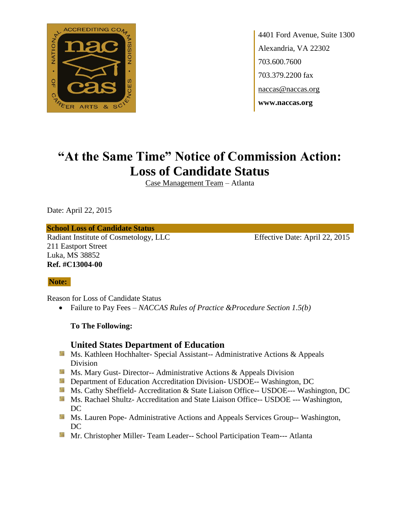

4401 Ford Avenue, Suite 1300 Alexandria, VA 22302 703.600.7600 703.379.2200 fax naccas@naccas.org **www.naccas.org**

# **"At the Same Time" Notice of Commission Action: Loss of Candidate Status**

Case Management Team – Atlanta

Date: April 22, 2015

#### **School Loss of Candidate Status**

Radiant Institute of Cosmetology, LLC Effective Date: April 22, 2015 211 Eastport Street Luka, MS 38852 **Ref. #C13004-00**

### **Note:**

Reason for Loss of Candidate Status

Failure to Pay Fees – *NACCAS Rules of Practice &Procedure Section 1.5(b)*

**To The Following:**

### **United States Department of Education**

- **MS. Kathleen Hochhalter- Special Assistant-- Administrative Actions & Appeals** Division
- **MS. Mary Gust- Director-- Administrative Actions & Appeals Division**
- **Externement of Education Accreditation Division- USDOE-- Washington, DC**
- Ms. Cathy Sheffield- Accreditation & State Liaison Office-- USDOE--- Washington, DC
- **Ms. Rachael Shultz- Accreditation and State Liaison Office-- USDOE --- Washington,** DC
- **MS. Lauren Pope- Administrative Actions and Appeals Services Group-- Washington,** DC
- **Mr.** Christopher Miller-Team Leader-- School Participation Team--- Atlanta